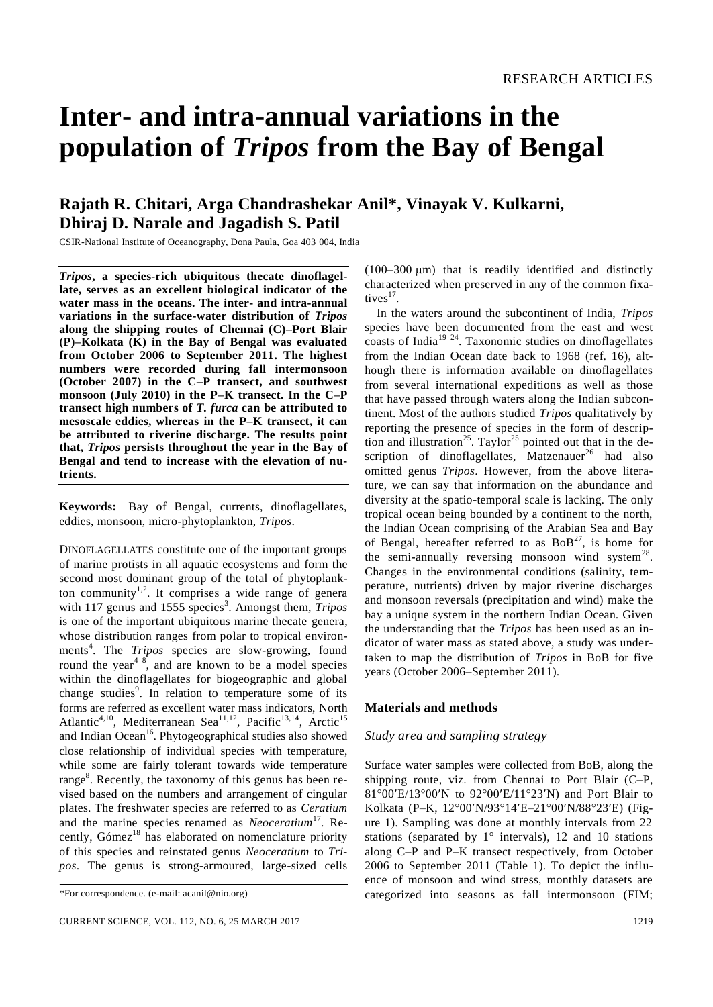# **Inter- and intra-annual variations in the population of** *Tripos* **from the Bay of Bengal**

# **Rajath R. Chitari, Arga Chandrashekar Anil\*, Vinayak V. Kulkarni, Dhiraj D. Narale and Jagadish S. Patil**

CSIR-National Institute of Oceanography, Dona Paula, Goa 403 004, India

*Tripos***, a species-rich ubiquitous thecate dinoflagellate, serves as an excellent biological indicator of the water mass in the oceans. The inter- and intra-annual variations in the surface-water distribution of** *Tripos* **along the shipping routes of Chennai (C)–Port Blair (P)–Kolkata (K) in the Bay of Bengal was evaluated from October 2006 to September 2011. The highest numbers were recorded during fall intermonsoon (October 2007) in the C–P transect, and southwest monsoon (July 2010) in the P–K transect. In the C–P transect high numbers of** *T. furca* **can be attributed to mesoscale eddies, whereas in the P–K transect, it can be attributed to riverine discharge. The results point that,** *Tripos* **persists throughout the year in the Bay of Bengal and tend to increase with the elevation of nutrients.**

**Keywords:** Bay of Bengal, currents, dinoflagellates, eddies, monsoon, micro-phytoplankton, *Tripos*.

DINOFLAGELLATES constitute one of the important groups of marine protists in all aquatic ecosystems and form the second most dominant group of the total of phytoplankton community<sup>1,2</sup>. It comprises a wide range of genera with 117 genus and 1555 species<sup>3</sup>. Amongst them, *Tripos* is one of the important ubiquitous marine thecate genera, whose distribution ranges from polar to tropical environments<sup>4</sup>. The *Tripos* species are slow-growing, found round the year<sup> $4-8$ </sup>, and are known to be a model species within the dinoflagellates for biogeographic and global change studies<sup>9</sup>. In relation to temperature some of its forms are referred as excellent water mass indicators, North Atlantic<sup>4,10</sup>, Mediterranean Sea<sup>11,12</sup>, Pacific<sup>13,14</sup>, Arctic<sup>15</sup> and Indian Ocean<sup>16</sup>. Phytogeographical studies also showed close relationship of individual species with temperature, while some are fairly tolerant towards wide temperature range<sup>8</sup>. Recently, the taxonomy of this genus has been revised based on the numbers and arrangement of cingular plates. The freshwater species are referred to as *Ceratium*  and the marine species renamed as *Neoceratium*<sup>17</sup> . Recently, Gómez<sup>18</sup> has elaborated on nomenclature priority of this species and reinstated genus *Neoceratium* to *Tripos*. The genus is strong-armoured, large-sized cells

 $(100-300 \text{ }\mu\text{m})$  that is readily identified and distinctly characterized when preserved in any of the common fixatives $^{17}$ .

In the waters around the subcontinent of India, *Tripos*  species have been documented from the east and west  $\frac{1}{2}$  coasts of India<sup>19–24</sup>. Taxonomic studies on dinoflagellates from the Indian Ocean date back to 1968 (ref. 16), although there is information available on dinoflagellates from several international expeditions as well as those that have passed through waters along the Indian subcontinent. Most of the authors studied *Tripos* qualitatively by reporting the presence of species in the form of description and illustration<sup>25</sup>. Taylor<sup>25</sup> pointed out that in the description of dinoflagellates, Matzenauer<sup>26</sup> had also omitted genus *Tripos*. However, from the above literature, we can say that information on the abundance and diversity at the spatio-temporal scale is lacking. The only tropical ocean being bounded by a continent to the north, the Indian Ocean comprising of the Arabian Sea and Bay of Bengal, hereafter referred to as  $BoB<sup>27</sup>$ , is home for the semi-annually reversing monsoon wind system<sup>28</sup>. Changes in the environmental conditions (salinity, temperature, nutrients) driven by major riverine discharges and monsoon reversals (precipitation and wind) make the bay a unique system in the northern Indian Ocean. Given the understanding that the *Tripos* has been used as an indicator of water mass as stated above, a study was undertaken to map the distribution of *Tripos* in BoB for five years (October 2006–September 2011).

# **Materials and methods**

# *Study area and sampling strategy*

Surface water samples were collected from BoB, along the shipping route, viz. from Chennai to Port Blair (C–P, 81°00'E/13°00'N to 92°00'E/11°23'N) and Port Blair to Kolkata (P-K, 12°00'N/93°14'E-21°00'N/88°23'E) (Figure 1). Sampling was done at monthly intervals from 22 stations (separated by  $1^\circ$  intervals), 12 and 10 stations along C–P and P–K transect respectively, from October 2006 to September 2011 (Table 1). To depict the influence of monsoon and wind stress, monthly datasets are categorized into seasons as fall intermonsoon (FIM;

<sup>\*</sup>For correspondence. (e-mail: acanil@nio.org)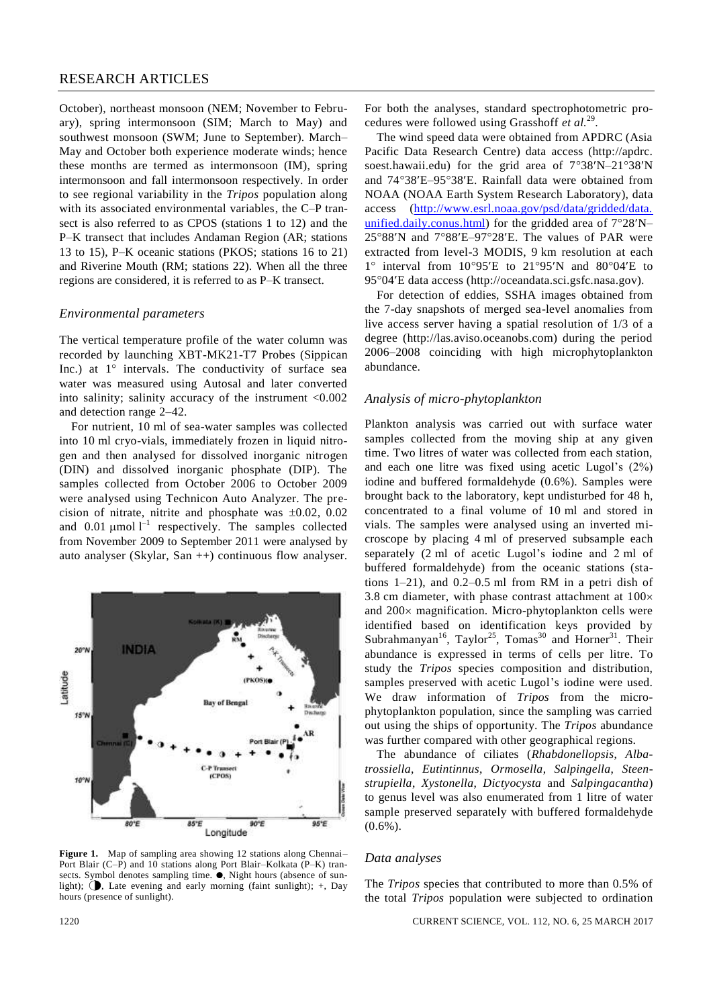# RESEARCH ARTICLES

October), northeast monsoon (NEM; November to February), spring intermonsoon (SIM; March to May) and southwest monsoon (SWM; June to September). March– May and October both experience moderate winds; hence these months are termed as intermonsoon (IM), spring intermonsoon and fall intermonsoon respectively. In order to see regional variability in the *Tripos* population along with its associated environmental variables, the C–P transect is also referred to as CPOS (stations 1 to 12) and the P–K transect that includes Andaman Region (AR; stations 13 to 15), P–K oceanic stations (PKOS; stations 16 to 21) and Riverine Mouth (RM; stations 22). When all the three regions are considered, it is referred to as P–K transect.

#### *Environmental parameters*

The vertical temperature profile of the water column was recorded by launching XBT-MK21-T7 Probes (Sippican Inc.) at  $1^\circ$  intervals. The conductivity of surface sea water was measured using Autosal and later converted into salinity; salinity accuracy of the instrument <0.002 and detection range 2–42.

For nutrient, 10 ml of sea-water samples was collected into 10 ml cryo-vials, immediately frozen in liquid nitrogen and then analysed for dissolved inorganic nitrogen (DIN) and dissolved inorganic phosphate (DIP). The samples collected from October 2006 to October 2009 were analysed using Technicon Auto Analyzer. The precision of nitrate, nitrite and phosphate was  $\pm 0.02$ , 0.02 and  $0.01 \mu$ mol  $l^{-1}$  respectively. The samples collected from November 2009 to September 2011 were analysed by auto analyser (Skylar, San ++) continuous flow analyser.



**Figure 1.** Map of sampling area showing 12 stations along Chennai– Port Blair (C–P) and 10 stations along Port Blair–Kolkata (P–K) transects. Symbol denotes sampling time.  $\bullet$ , Night hours (absence of sunlight);  $\bigcirc$ , Late evening and early morning (faint sunlight); +, Day hours (presence of sunlight).

For both the analyses, standard spectrophotometric procedures were followed using Grasshoff *et al.*<sup>29</sup> .

The wind speed data were obtained from APDRC (Asia Pacific Data Research Centre) data access (http://apdrc. soest.hawaii.edu) for the grid area of  $7^{\circ}38'N-21^{\circ}38'N$ and 74°38'E-95°38'E. Rainfall data were obtained from NOAA (NOAA Earth System Research Laboratory), data access (http://www.esrl.noaa.gov/psd/data/gridded/data. unified.daily.conus.html) for the gridded area of  $7^{\circ}28'N 25^{\circ}88'$ N and  $7^{\circ}88'E-97^{\circ}28'E$ . The values of PAR were extracted from level-3 MODIS, 9 km resolution at each  $1^\circ$  interval from  $10^\circ95'E$  to  $21^\circ95'N$  and  $80^\circ04'E$  to 9504E data access (http://oceandata.sci.gsfc.nasa.gov).

For detection of eddies, SSHA images obtained from the 7-day snapshots of merged sea-level anomalies from live access server having a spatial resolution of 1/3 of a degree (http://las.aviso.oceanobs.com) during the period 2006–2008 coinciding with high microphytoplankton abundance.

# *Analysis of micro-phytoplankton*

Plankton analysis was carried out with surface water samples collected from the moving ship at any given time. Two litres of water was collected from each station, and each one litre was fixed using acetic Lugol's (2%) iodine and buffered formaldehyde (0.6%). Samples were brought back to the laboratory, kept undisturbed for 48 h, concentrated to a final volume of 10 ml and stored in vials. The samples were analysed using an inverted microscope by placing 4 ml of preserved subsample each separately (2 ml of acetic Lugol's iodine and 2 ml of buffered formaldehyde) from the oceanic stations (stations 1–21), and 0.2–0.5 ml from RM in a petri dish of 3.8 cm diameter, with phase contrast attachment at  $100 \times$ and  $200 \times$  magnification. Micro-phytoplankton cells were identified based on identification keys provided by Subrahmanyan<sup>16</sup>, Taylor<sup>25</sup>, Tomas<sup>30</sup> and Horner<sup>31</sup>. Their abundance is expressed in terms of cells per litre. To study the *Tripos* species composition and distribution, samples preserved with acetic Lugol's iodine were used. We draw information of *Tripos* from the microphytoplankton population, since the sampling was carried out using the ships of opportunity. The *Tripos* abundance was further compared with other geographical regions.

The abundance of ciliates (*Rhabdonellopsis*, *Albatrossiella*, *Eutintinnus*, *Ormosella*, *Salpingella*, *Steenstrupiella*, *Xystonella*, *Dictyocysta* and *Salpingacantha*) to genus level was also enumerated from 1 litre of water sample preserved separately with buffered formaldehyde (0.6%).

#### *Data analyses*

The *Tripos* species that contributed to more than 0.5% of the total *Tripos* population were subjected to ordination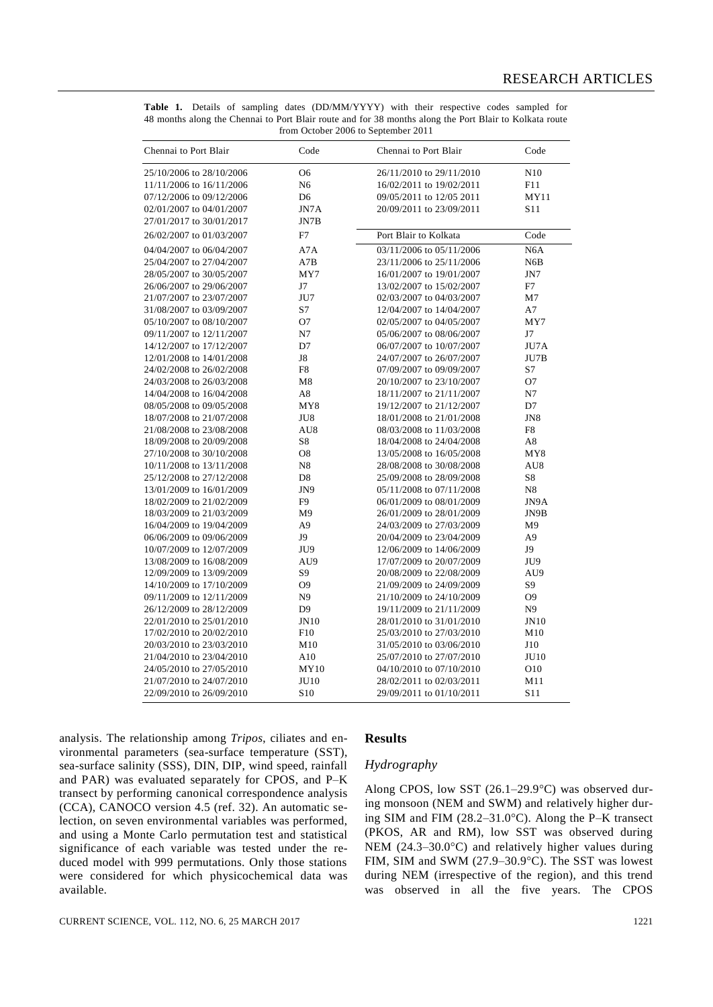| Chennai to Port Blair    | Code            | Chennai to Port Blair    | Code             |
|--------------------------|-----------------|--------------------------|------------------|
| 25/10/2006 to 28/10/2006 | O <sub>6</sub>  | 26/11/2010 to 29/11/2010 | N10              |
| 11/11/2006 to 16/11/2006 | N <sub>6</sub>  | 16/02/2011 to 19/02/2011 | F11              |
| 07/12/2006 to 09/12/2006 | D <sub>6</sub>  | 09/05/2011 to 12/05 2011 | MY11             |
| 02/01/2007 to 04/01/2007 | JN7A            | 20/09/2011 to 23/09/2011 | S <sub>11</sub>  |
| 27/01/2017 to 30/01/2017 | JN7B            |                          |                  |
| 26/02/2007 to 01/03/2007 | F7              | Port Blair to Kolkata    | Code             |
| 04/04/2007 to 06/04/2007 | A7A             | 03/11/2006 to 05/11/2006 | N <sub>6</sub> A |
| 25/04/2007 to 27/04/2007 | A7B             | 23/11/2006 to 25/11/2006 | N <sub>6</sub> B |
| 28/05/2007 to 30/05/2007 | MY7             | 16/01/2007 to 19/01/2007 | JN7              |
| 26/06/2007 to 29/06/2007 | J7              | 13/02/2007 to 15/02/2007 | F7               |
| 21/07/2007 to 23/07/2007 | JU7             | 02/03/2007 to 04/03/2007 | M <sub>7</sub>   |
| 31/08/2007 to 03/09/2007 | S7              | 12/04/2007 to 14/04/2007 | A7               |
| 05/10/2007 to 08/10/2007 | O <sub>7</sub>  | 02/05/2007 to 04/05/2007 | MY7              |
| 09/11/2007 to 12/11/2007 | N7              | 05/06/2007 to 08/06/2007 | J7               |
| 14/12/2007 to 17/12/2007 | D <sub>7</sub>  | 06/07/2007 to 10/07/2007 | JU7A             |
| 12/01/2008 to 14/01/2008 | J8              | 24/07/2007 to 26/07/2007 | JU7B             |
| 24/02/2008 to 26/02/2008 | F8              | 07/09/2007 to 09/09/2007 | S7               |
| 24/03/2008 to 26/03/2008 | M8              | 20/10/2007 to 23/10/2007 | O7               |
| 14/04/2008 to 16/04/2008 | A8              | 18/11/2007 to 21/11/2007 | N7               |
| 08/05/2008 to 09/05/2008 | MY8             | 19/12/2007 to 21/12/2007 | D7               |
| 18/07/2008 to 21/07/2008 | JU8             | 18/01/2008 to 21/01/2008 | JN8              |
| 21/08/2008 to 23/08/2008 | AU8             | 08/03/2008 to 11/03/2008 | F8               |
| 18/09/2008 to 20/09/2008 | S8              | 18/04/2008 to 24/04/2008 | A8               |
| 27/10/2008 to 30/10/2008 | O <sub>8</sub>  | 13/05/2008 to 16/05/2008 | MY8              |
| 10/11/2008 to 13/11/2008 | N <sub>8</sub>  | 28/08/2008 to 30/08/2008 | AU8              |
| 25/12/2008 to 27/12/2008 | D <sub>8</sub>  | 25/09/2008 to 28/09/2008 | S8               |
| 13/01/2009 to 16/01/2009 | JN9             | 05/11/2008 to 07/11/2008 | N8               |
| 18/02/2009 to 21/02/2009 | F <sub>9</sub>  | 06/01/2009 to 08/01/2009 | JN9A             |
| 18/03/2009 to 21/03/2009 | M <sub>9</sub>  | 26/01/2009 to 28/01/2009 | JN9B             |
| 16/04/2009 to 19/04/2009 | A <sub>9</sub>  | 24/03/2009 to 27/03/2009 | M <sub>9</sub>   |
| 06/06/2009 to 09/06/2009 | J9              | 20/04/2009 to 23/04/2009 | A <sub>9</sub>   |
| 10/07/2009 to 12/07/2009 | JU9             | 12/06/2009 to 14/06/2009 | J9               |
| 13/08/2009 to 16/08/2009 | AU9             | 17/07/2009 to 20/07/2009 | JU <sub>9</sub>  |
| 12/09/2009 to 13/09/2009 | S9              | 20/08/2009 to 22/08/2009 | AU9              |
| 14/10/2009 to 17/10/2009 | O9              | 21/09/2009 to 24/09/2009 | S <sub>9</sub>   |
| 09/11/2009 to 12/11/2009 | N <sub>9</sub>  | 21/10/2009 to 24/10/2009 | O <sub>9</sub>   |
| 26/12/2009 to 28/12/2009 | D <sub>9</sub>  | 19/11/2009 to 21/11/2009 | N <sub>9</sub>   |
| 22/01/2010 to 25/01/2010 | <b>JN10</b>     | 28/01/2010 to 31/01/2010 | J <sub>N10</sub> |
| 17/02/2010 to 20/02/2010 | F10             | 25/03/2010 to 27/03/2010 | M10              |
| 20/03/2010 to 23/03/2010 | M10             | 31/05/2010 to 03/06/2010 |                  |
| 21/04/2010 to 23/04/2010 | A10             | 25/07/2010 to 27/07/2010 | J10<br>JU10      |
|                          |                 |                          |                  |
| 24/05/2010 to 27/05/2010 | MY10            | 04/10/2010 to 07/10/2010 | O10              |
| 21/07/2010 to 24/07/2010 | <b>JU10</b>     | 28/02/2011 to 02/03/2011 | M11              |
| 22/09/2010 to 26/09/2010 | S <sub>10</sub> | 29/09/2011 to 01/10/2011 | S <sub>11</sub>  |

**Table 1.** Details of sampling dates (DD/MM/YYYY) with their respective codes sampled for 48 months along the Chennai to Port Blair route and for 38 months along the Port Blair to Kolkata route from October 2006 to September 2011

analysis. The relationship among *Tripos*, ciliates and environmental parameters (sea-surface temperature (SST), sea-surface salinity (SSS), DIN, DIP, wind speed, rainfall and PAR) was evaluated separately for CPOS, and P–K transect by performing canonical correspondence analysis (CCA), CANOCO version 4.5 (ref. 32). An automatic selection, on seven environmental variables was performed, and using a Monte Carlo permutation test and statistical significance of each variable was tested under the reduced model with 999 permutations. Only those stations were considered for which physicochemical data was available.

# **Results**

# *Hydrography*

Along CPOS, low SST  $(26.1-29.9^{\circ}C)$  was observed during monsoon (NEM and SWM) and relatively higher during SIM and FIM  $(28.2-31.0^{\circ}\text{C})$ . Along the P–K transect (PKOS, AR and RM), low SST was observed during NEM  $(24.3-30.0^{\circ}\text{C})$  and relatively higher values during FIM, SIM and SWM (27.9-30.9 $^{\circ}$ C). The SST was lowest during NEM (irrespective of the region), and this trend was observed in all the five years. The CPOS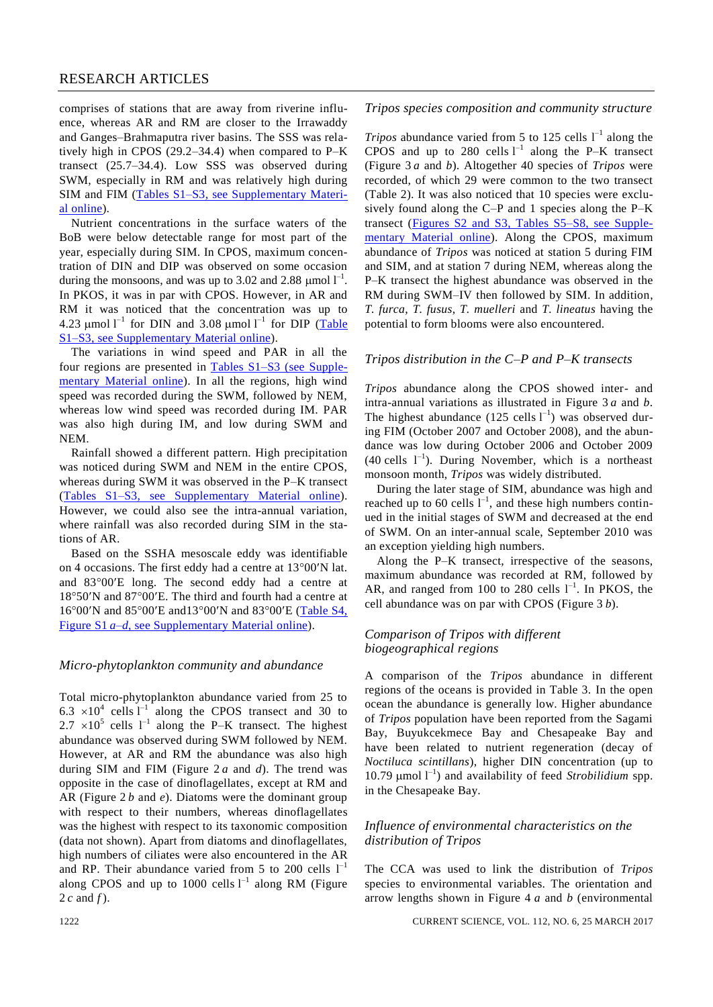comprises of stations that are away from riverine influence, whereas AR and RM are closer to the Irrawaddy and Ganges–Brahmaputra river basins. The SSS was relatively high in CPOS  $(29.2-34.4)$  when compared to P–K transect (25.7–34.4). Low SSS was observed during SWM, especially in RM and was relatively high during SIM and FIM [\(Tables S1–S3, see Supplementary Materi](http://www.currentscience.ac.in/Volumes/112/06/1219-suppl.pdf)al [online\)](http://www.currentscience.ac.in/Volumes/112/06/1219-suppl.pdf).

Nutrient concentrations in the surface waters of the BoB were below detectable range for most part of the year, especially during SIM. In CPOS, maximum concentration of DIN and DIP was observed on some occasion during the monsoons, and was up to 3.02 and 2.88  $\mu$ mol  $I^{-1}$ . In PKOS, it was in par with CPOS. However, in AR and RM it was noticed that the concentration was up to 4.23  $\mu$ mol  $I^{-1}$  for DIN and 3.08  $\mu$ mol  $I^{-1}$  for DIP (Table [S1–S3, see Supplementary](http://www.currentscience.ac.in/Volumes/112/06/1219-suppl.pdf) Material online).

The variations in wind speed and PAR in all the four regions are presented in [Tables S1–S3](http://www.currentscience.ac.in/Volumes/112/06/1219-suppl.pdf) (see Supplementary [Material](http://www.currentscience.ac.in/Volumes/112/06/1219-suppl.pdf) online). In all the regions, high wind speed was recorded during the SWM, followed by NEM, whereas low wind speed was recorded during IM. PAR was also high during IM, and low during SWM and NEM.

Rainfall showed a different pattern. High precipitation was noticed during SWM and NEM in the entire CPOS, whereas during SWM it was observed in the P–K transect [\(Tables S1–S3, see Supplementary](http://www.currentscience.ac.in/Volumes/112/06/1219-suppl.pdf) Material online). However, we could also see the intra-annual variation, where rainfall was also recorded during SIM in the stations of AR.

Based on the SSHA mesoscale eddy was identifiable on 4 occasions. The first eddy had a centre at  $13^{\circ}00'$ N lat. and 83°00'E long. The second eddy had a centre at  $18°50'$ N and  $87°00'E$ . The third and fourth had a centre at 16°00'N and 85°00'E and 13°00'N and 83°00'E (Table S4, Figure S1 *a*–*d*[, see Supplementary Material](http://www.currentscience.ac.in/Volumes/112/06/1219-suppl.pdf) online).

#### *Micro-phytoplankton community and abundance*

Total micro-phytoplankton abundance varied from 25 to  $6.3 \times 10^4$  cells  $l^{-1}$  along the CPOS transect and 30 to  $2.7 \times 10^5$  cells  $1^{-1}$  along the P–K transect. The highest abundance was observed during SWM followed by NEM. However, at AR and RM the abundance was also high during SIM and FIM (Figure 2 *a* and *d*). The trend was opposite in the case of dinoflagellates, except at RM and AR (Figure 2 *b* and *e*). Diatoms were the dominant group with respect to their numbers, whereas dinoflagellates was the highest with respect to its taxonomic composition (data not shown). Apart from diatoms and dinoflagellates, high numbers of ciliates were also encountered in the AR and RP. Their abundance varied from 5 to 200 cells  $I^{-1}$ along CPOS and up to 1000 cells  $l^{-1}$  along RM (Figure 2 *c* and *f* ).

#### *Tripos species composition and community structure*

*Tripos* abundance varied from 5 to 125 cells  $I^{-1}$  along the CPOS and up to 280 cells  $l^{-1}$  along the P–K transect (Figure 3 *a* and *b*). Altogether 40 species of *Tripos* were recorded, of which 29 were common to the two transect (Table 2). It was also noticed that 10 species were exclusively found along the C–P and 1 species along the P–K transect [\(Figures S2 and S3, Tables S5–S8, see Supple](http://www.currentscience.ac.in/Volumes/112/06/1219-suppl.pdf)[mentary Material online\)](http://www.currentscience.ac.in/Volumes/112/06/1219-suppl.pdf). Along the CPOS, maximum abundance of *Tripos* was noticed at station 5 during FIM and SIM, and at station 7 during NEM, whereas along the P–K transect the highest abundance was observed in the RM during SWM–IV then followed by SIM. In addition, *T. furca*, *T. fusus*, *T. muelleri* and *T. lineatus* having the potential to form blooms were also encountered.

# *Tripos distribution in the C–P and P–K transects*

*Tripos* abundance along the CPOS showed inter- and intra-annual variations as illustrated in Figure 3 *a* and *b*. The highest abundance  $(125 \text{ cells } l^{-1})$  was observed during FIM (October 2007 and October 2008), and the abundance was low during October 2006 and October 2009  $(40 \text{ cells } 1^{-1})$ . During November, which is a northeast monsoon month, *Tripos* was widely distributed.

During the later stage of SIM, abundance was high and reached up to 60 cells  $1^{-1}$ , and these high numbers continued in the initial stages of SWM and decreased at the end of SWM. On an inter-annual scale, September 2010 was an exception yielding high numbers.

Along the P–K transect, irrespective of the seasons, maximum abundance was recorded at RM, followed by AR, and ranged from 100 to 280 cells  $1^{-1}$ . In PKOS, the cell abundance was on par with CPOS (Figure 3 *b*).

# *Comparison of Tripos with different biogeographical regions*

A comparison of the *Tripos* abundance in different regions of the oceans is provided in Table 3. In the open ocean the abundance is generally low. Higher abundance of *Tripos* population have been reported from the Sagami Bay, Buyukcekmece Bay and Chesapeake Bay and have been related to nutrient regeneration (decay of *Noctiluca scintillans*), higher DIN concentration (up to 10.79  $\mu$ mol  $I^{-1}$ ) and availability of feed *Strobilidium* spp. in the Chesapeake Bay.

# *Influence of environmental characteristics on the distribution of Tripos*

The CCA was used to link the distribution of *Tripos* species to environmental variables. The orientation and arrow lengths shown in Figure 4 *a* and *b* (environmental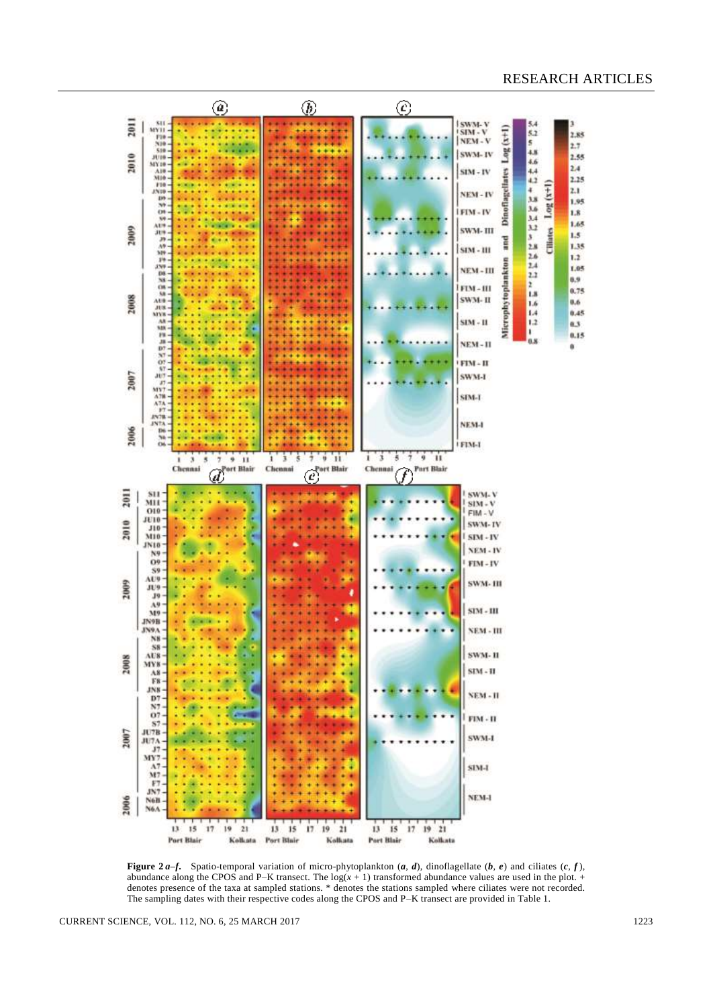

**Figure 2a–f.** Spatio-temporal variation of micro-phytoplankton  $(a, d)$ , dinoflagellate  $(b, e)$  and ciliates  $(c, f)$ , abundance along the CPOS and P–K transect. The  $log(x + 1)$  transformed abundance values are used in the plot. + denotes presence of the taxa at sampled stations. \* denotes the stations sampled where ciliates were not recorded. The sampling dates with their respective codes along the CPOS and P–K transect are provided in Table 1.

CURRENT SCIENCE, VOL. 112, NO. 6, 25 MARCH 2017 1223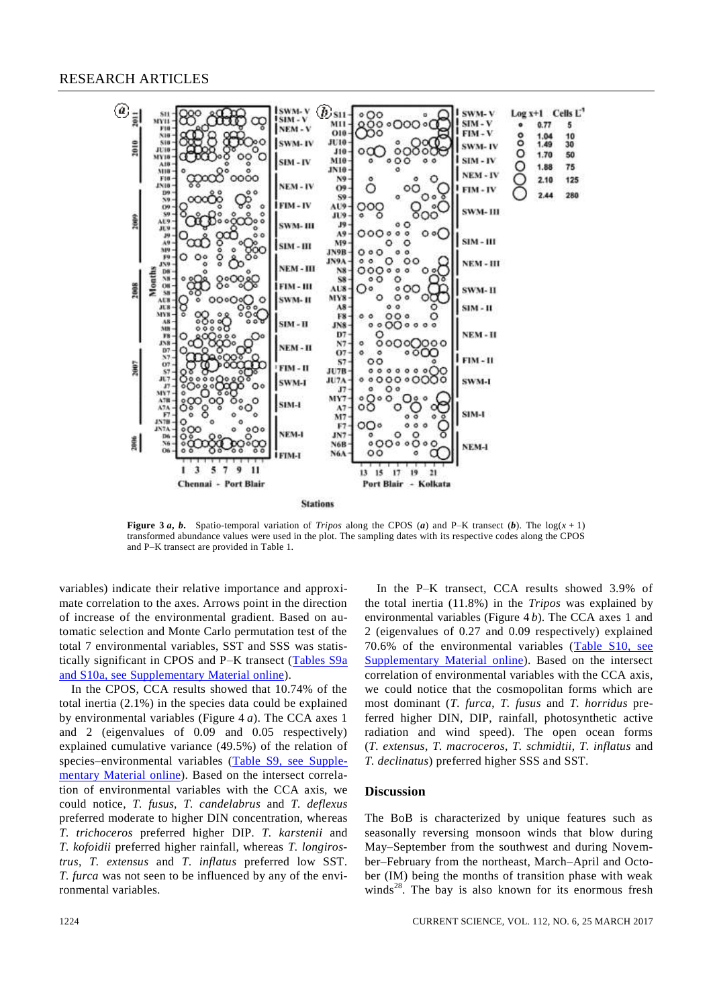# RESEARCH ARTICLES



**Figure 3***a*, *b*. Spatio-temporal variation of *Tripos* along the CPOS (*a*) and P–K transect (*b*). The  $log(x + 1)$ transformed abundance values were used in the plot. The sampling dates with its respective codes along the CPOS and P–K transect are provided in Table 1.

variables) indicate their relative importance and approximate correlation to the axes. Arrows point in the direction of increase of the environmental gradient. Based on automatic selection and Monte Carlo permutation test of the total 7 environmental variables, SST and SSS was statistically significant in CPOS and P–K transect [\(Tables S9a](http://www.currentscience.ac.in/Volumes/112/06/1219-suppl.pdf) [and S10a, see Supplementary Material](http://www.currentscience.ac.in/Volumes/112/06/1219-suppl.pdf) online).

In the CPOS, CCA results showed that 10.74% of the total inertia (2.1%) in the species data could be explained by environmental variables (Figure 4 *a*). The CCA axes 1 and 2 (eigenvalues of 0.09 and 0.05 respectively) explained cumulative variance (49.5%) of the relation of species–environmental variables [\(Table S9, see Supple](http://www.currentscience.ac.in/Volumes/112/06/1219-suppl.pdf)[mentary Material](http://www.currentscience.ac.in/Volumes/112/06/1219-suppl.pdf) online). Based on the intersect correlation of environmental variables with the CCA axis, we could notice, *T. fusus*, *T. candelabrus* and *T. deflexus*  preferred moderate to higher DIN concentration, whereas *T. trichoceros* preferred higher DIP*. T. karstenii* and *T. kofoidii* preferred higher rainfall, whereas *T. longirostrus*, *T. extensus* and *T*. *inflatus* preferred low SST. *T. furca* was not seen to be influenced by any of the environmental variables.

In the P–K transect, CCA results showed 3.9% of the total inertia (11.8%) in the *Tripos* was explained by environmental variables (Figure 4 *b*). The CCA axes 1 and 2 (eigenvalues of 0.27 and 0.09 respectively) explained 70.6% of the environmental variables [\(Table S10, see](http://www.currentscience.ac.in/Volumes/112/06/1219-suppl.pdf)  [Supplementary](http://www.currentscience.ac.in/Volumes/112/06/1219-suppl.pdf) Material online). Based on the intersect correlation of environmental variables with the CCA axis, we could notice that the cosmopolitan forms which are most dominant (*T. furca*, *T. fusus* and *T. horridus* preferred higher DIN, DIP, rainfall, photosynthetic active radiation and wind speed). The open ocean forms (*T. extensus*, *T. macroceros*, *T. schmidtii*, *T. inflatus* and *T. declinatus*) preferred higher SSS and SST.

#### **Discussion**

The BoB is characterized by unique features such as seasonally reversing monsoon winds that blow during May–September from the southwest and during November–February from the northeast, March–April and October (IM) being the months of transition phase with weak winds<sup>28</sup>. The bay is also known for its enormous fresh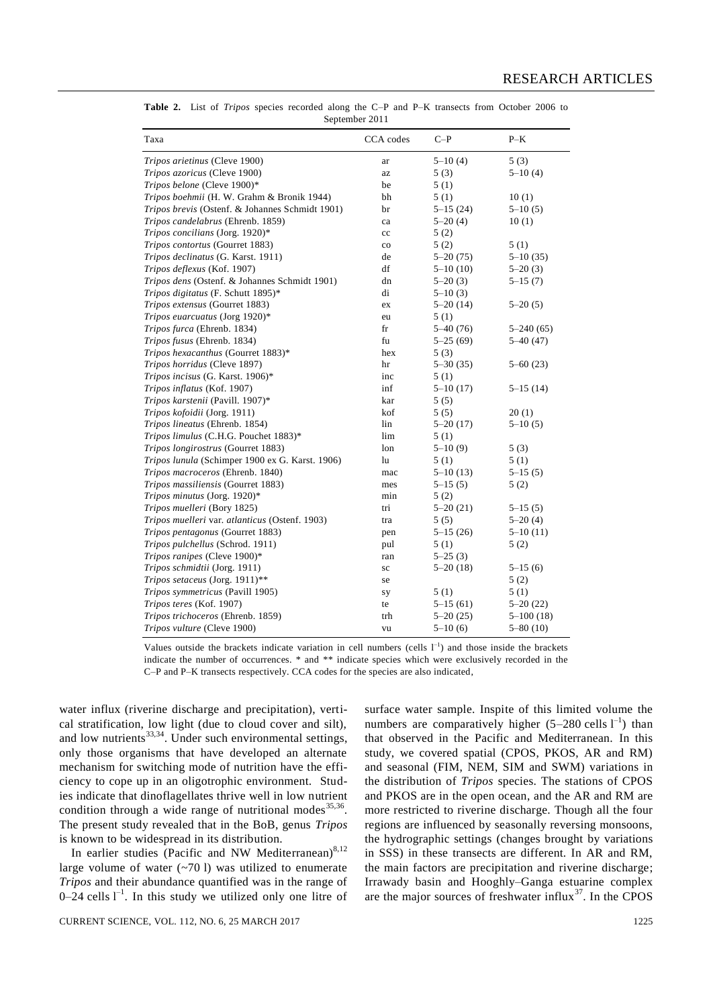| Taxa                                            | CCA codes   | $C-P$        | $P-K$         |
|-------------------------------------------------|-------------|--------------|---------------|
| Tripos arietinus (Cleve 1900)                   | ar          | $5 - 10(4)$  | 5(3)          |
| Tripos azoricus (Cleve 1900)                    | az          | 5(3)         | $5 - 10(4)$   |
| Tripos belone (Cleve 1900)*                     | be          | 5(1)         |               |
| Tripos boehmii (H. W. Grahm & Bronik 1944)      | bh          | 5(1)         | 10(1)         |
| Tripos brevis (Ostenf. & Johannes Schmidt 1901) | br          | $5 - 15(24)$ | $5 - 10(5)$   |
| Tripos candelabrus (Ehrenb. 1859)               | ca          | $5 - 20(4)$  | 10(1)         |
| Tripos concilians (Jorg. 1920)*                 | cc          | 5(2)         |               |
| Tripos contortus (Gourret 1883)                 | $_{\rm co}$ | 5(2)         | 5(1)          |
| Tripos declinatus (G. Karst. 1911)              | de          | $5 - 20(75)$ | $5 - 10(35)$  |
| Tripos deflexus (Kof. 1907)                     | df          | $5 - 10(10)$ | $5 - 20(3)$   |
| Tripos dens (Ostenf. & Johannes Schmidt 1901)   | dn          | $5 - 20(3)$  | $5 - 15(7)$   |
| Tripos digitatus (F. Schutt 1895)*              | di          | $5 - 10(3)$  |               |
| Tripos extensus (Gourret 1883)                  | ex          | $5 - 20(14)$ | $5 - 20(5)$   |
| Tripos euarcuatus (Jorg 1920)*                  | eu          | 5(1)         |               |
| Tripos furca (Ehrenb. 1834)                     | fr          | $5 - 40(76)$ | $5 - 240(65)$ |
| Tripos fusus (Ehrenb. 1834)                     | fu          | $5 - 25(69)$ | $5 - 40(47)$  |
| Tripos hexacanthus (Gourret 1883)*              | hex         | 5(3)         |               |
| Tripos horridus (Cleve 1897)                    | hr          | $5 - 30(35)$ | $5 - 60(23)$  |
| Tripos incisus (G. Karst. 1906)*                | inc         | 5(1)         |               |
| Tripos inflatus (Kof. 1907)                     | inf         | $5 - 10(17)$ | $5-15(14)$    |
| Tripos karstenii (Pavill. 1907)*                | kar         | 5(5)         |               |
| Tripos kofoidii (Jorg. 1911)                    | kof         | 5(5)         | 20(1)         |
| Tripos lineatus (Ehrenb. 1854)                  | lin         | $5 - 20(17)$ | $5 - 10(5)$   |
| Tripos limulus (C.H.G. Pouchet 1883)*           | lim         | 5(1)         |               |
| Tripos longirostrus (Gourret 1883)              | lon         | $5 - 10(9)$  | 5(3)          |
| Tripos lunula (Schimper 1900 ex G. Karst. 1906) | lu          | 5(1)         | 5(1)          |
| <i>Tripos macroceros</i> (Ehrenb. 1840)         | mac         | $5 - 10(13)$ | $5 - 15(5)$   |
| Tripos massiliensis (Gourret 1883)              | mes         | $5 - 15(5)$  | 5(2)          |
| Tripos minutus (Jorg. 1920)*                    | min         | 5(2)         |               |
| Tripos muelleri (Bory 1825)                     | tri         | $5 - 20(21)$ | $5 - 15(5)$   |
| Tripos muelleri var. atlanticus (Ostenf. 1903)  | tra         | 5(5)         | $5 - 20(4)$   |
| Tripos pentagonus (Gourret 1883)                | pen         | $5-15(26)$   | $5 - 10(11)$  |
| Tripos pulchellus (Schrod. 1911)                | pul         | 5(1)         | 5(2)          |
| Tripos ranipes (Cleve 1900)*                    | ran         | $5 - 25(3)$  |               |
| Tripos schmidtii (Jorg. 1911)                   | sc          | $5 - 20(18)$ | $5-15(6)$     |
| Tripos setaceus (Jorg. 1911)**                  | se          |              | 5(2)          |
| Tripos symmetricus (Pavill 1905)                | sy          | 5(1)         | 5(1)          |
| Tripos teres (Kof. 1907)                        | te          | $5-15(61)$   | $5 - 20(22)$  |
| Tripos trichoceros (Ehrenb. 1859)               | trh         | $5 - 20(25)$ | $5 - 100(18)$ |
| Tripos vulture (Cleve 1900)                     | vu          | $5 - 10(6)$  | 5–80 (10)     |

**Table 2.** List of *Tripos* species recorded along the C–P and P–K transects from October 2006 to September 2011

Values outside the brackets indicate variation in cell numbers (cells  $1^{-1}$ ) and those inside the brackets indicate the number of occurrences. \* and \*\* indicate species which were exclusively recorded in the C–P and P–K transects respectively. CCA codes for the species are also indicated,

water influx (riverine discharge and precipitation), vertical stratification, low light (due to cloud cover and silt), and low nutrients $^{33,34}$ . Under such environmental settings, only those organisms that have developed an alternate mechanism for switching mode of nutrition have the efficiency to cope up in an oligotrophic environment. Studies indicate that dinoflagellates thrive well in low nutrient condition through a wide range of nutritional modes  $35,36$ . The present study revealed that in the BoB, genus *Tripos*  is known to be widespread in its distribution.

In earlier studies (Pacific and NW Mediterranean) $8,12$ large volume of water  $(-701)$  was utilized to enumerate *Tripos* and their abundance quantified was in the range of  $0-24$  cells  $1^{-1}$ . In this study we utilized only one litre of

surface water sample. Inspite of this limited volume the numbers are comparatively higher  $(5-280 \text{ cells } l^{-1})$  than that observed in the Pacific and Mediterranean. In this study, we covered spatial (CPOS, PKOS, AR and RM) and seasonal (FIM, NEM, SIM and SWM) variations in the distribution of *Tripos* species. The stations of CPOS and PKOS are in the open ocean, and the AR and RM are more restricted to riverine discharge. Though all the four regions are influenced by seasonally reversing monsoons, the hydrographic settings (changes brought by variations in SSS) in these transects are different. In AR and RM, the main factors are precipitation and riverine discharge; Irrawady basin and Hooghly–Ganga estuarine complex are the major sources of freshwater influx $37$ . In the CPOS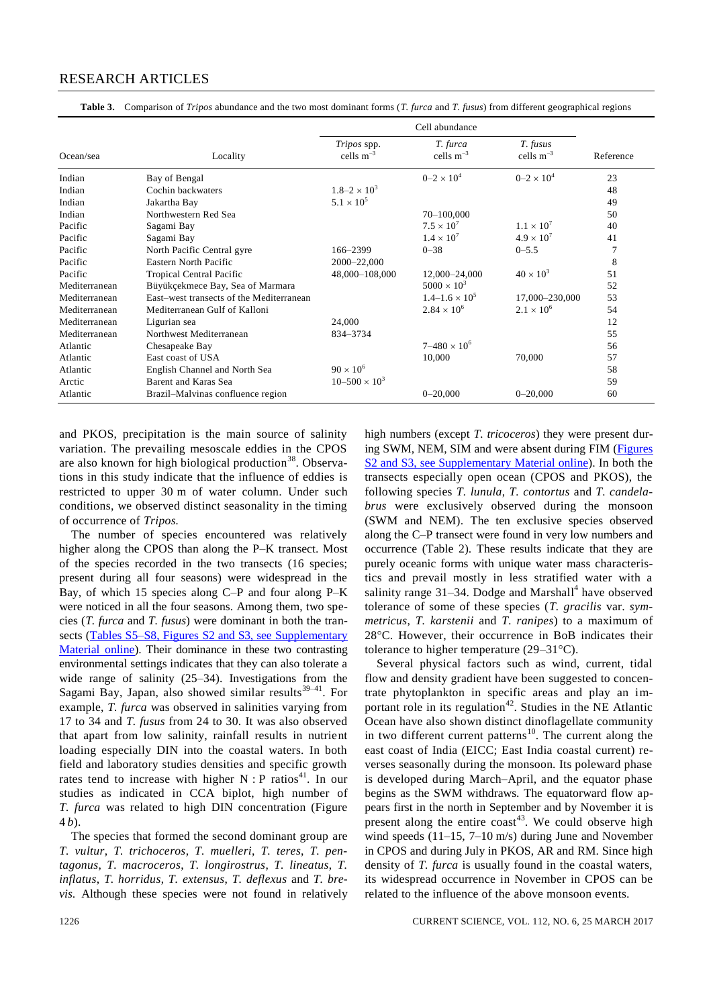# RESEARCH ARTICLES

**Table 3.** Comparison of *Tripos* abundance and the two most dominant forms (*T. furca* and *T. fusus*) from different geographical regions

|               |                                          | Cell abundance                       |                            |                            |           |
|---------------|------------------------------------------|--------------------------------------|----------------------------|----------------------------|-----------|
| Ocean/sea     | Locality                                 | <i>Tripos</i> spp.<br>cells $m^{-3}$ | T. furca<br>cells $m^{-3}$ | T. fusus<br>cells $m^{-3}$ | Reference |
| Indian        | Bay of Bengal                            |                                      | $0 - 2 \times 10^{4}$      | $0 - 2 \times 10^{4}$      | 23        |
| Indian        | Cochin backwaters                        | $1.8 - 2 \times 10^3$                |                            |                            | 48        |
| Indian        | Jakartha Bay                             | $5.1 \times 10^{5}$                  |                            |                            | 49        |
| Indian        | Northwestern Red Sea                     |                                      | 70-100,000                 |                            | 50        |
| Pacific       | Sagami Bay                               |                                      | $7.5 \times 10^{7}$        | $1.1 \times 10^{7}$        | 40        |
| Pacific       | Sagami Bay                               |                                      | $1.4 \times 10^{7}$        | $4.9 \times 10^{7}$        | 41        |
| Pacific       | North Pacific Central gyre               | 166-2399                             | $0 - 38$                   | $0 - 5.5$                  | 7         |
| Pacific       | Eastern North Pacific                    | 2000-22,000                          |                            |                            | 8         |
| Pacific       | Tropical Central Pacific                 | 48,000-108,000                       | 12,000-24,000              | $40 \times 10^3$           | 51        |
| Mediterranean | Büyükçekmece Bay, Sea of Marmara         |                                      | $5000 \times 10^{3}$       |                            | 52        |
| Mediterranean | East-west transects of the Mediterranean |                                      | $1.4 - 1.6 \times 10^5$    | 17,000-230,000             | 53        |
| Mediterranean | Mediterranean Gulf of Kalloni            |                                      | $2.84 \times 10^{6}$       | $2.1 \times 10^{6}$        | 54        |
| Mediterranean | Ligurian sea                             | 24,000                               |                            |                            | 12        |
| Mediterranean | Northwest Mediterranean                  | 834-3734                             |                            |                            | 55        |
| Atlantic      | Chesapeake Bay                           |                                      | $7 - 480 \times 10^6$      |                            | 56        |
| Atlantic      | East coast of USA                        |                                      | 10,000                     | 70,000                     | 57        |
| Atlantic      | English Channel and North Sea            | $90 \times 10^6$                     |                            |                            | 58        |
| Arctic        | Barent and Karas Sea                     | $10 - 500 \times 10^3$               |                            |                            | 59        |
| Atlantic      | Brazil-Malvinas confluence region        |                                      | $0 - 20,000$               | $0 - 20,000$               | 60        |

and PKOS, precipitation is the main source of salinity variation. The prevailing mesoscale eddies in the CPOS are also known for high biological production<sup>38</sup>. Observations in this study indicate that the influence of eddies is restricted to upper 30 m of water column. Under such conditions, we observed distinct seasonality in the timing of occurrence of *Tripos.*

The number of species encountered was relatively higher along the CPOS than along the P–K transect. Most of the species recorded in the two transects (16 species; present during all four seasons) were widespread in the Bay, of which 15 species along C–P and four along P–K were noticed in all the four seasons. Among them, two species (*T. furca* and *T. fusus*) were dominant in both the transects [\(Tables S5–S8, Figures S2 and S3, see Supplementary](http://www.currentscience.ac.in/Volumes/112/06/1219-suppl.pdf)  [Material online\)](http://www.currentscience.ac.in/Volumes/112/06/1219-suppl.pdf). Their dominance in these two contrasting environmental settings indicates that they can also tolerate a wide range of salinity (25–34). Investigations from the Sagami Bay, Japan, also showed similar results<sup>39-41</sup>. For example, *T. furca* was observed in salinities varying from 17 to 34 and *T. fusus* from 24 to 30. It was also observed that apart from low salinity, rainfall results in nutrient loading especially DIN into the coastal waters. In both field and laboratory studies densities and specific growth rates tend to increase with higher  $N : P$  ratios<sup>41</sup>. In our studies as indicated in CCA biplot, high number of *T. furca* was related to high DIN concentration (Figure 4 *b*).

The species that formed the second dominant group are *T. vultur*, *T. trichoceros*, *T. muelleri*, *T. teres*, *T. pentagonus*, *T. macroceros*, *T. longirostrus*, *T. lineatus*, *T. inflatus*, *T. horridus*, *T. extensus*, *T. deflexus* and *T. brevis*. Although these species were not found in relatively high numbers (except *T. tricoceros*) they were present during SWM, NEM, SIM and were absent during FIM [\(Figures](http://www.currentscience.ac.in/Volumes/112/06/1219-suppl.pdf)  [S2 and S3, see Supplementary Material online\)](http://www.currentscience.ac.in/Volumes/112/06/1219-suppl.pdf). In both the transects especially open ocean (CPOS and PKOS), the following species *T. lunula*, *T. contortus* and *T. candelabrus* were exclusively observed during the monsoon (SWM and NEM). The ten exclusive species observed along the C–P transect were found in very low numbers and occurrence (Table 2). These results indicate that they are purely oceanic forms with unique water mass characteristics and prevail mostly in less stratified water with a salinity range 31–34. Dodge and Marshall<sup>4</sup> have observed tolerance of some of these species (*T. gracilis* var. *symmetricus*, *T. karstenii* and *T. ranipes*) to a maximum of 28C. However, their occurrence in BoB indicates their tolerance to higher temperature  $(29-31^{\circ}C)$ .

Several physical factors such as wind, current, tidal flow and density gradient have been suggested to concentrate phytoplankton in specific areas and play an important role in its regulation<sup>42</sup>. Studies in the NE Atlantic Ocean have also shown distinct dinoflagellate community in two different current patterns<sup>10</sup>. The current along the east coast of India (EICC; East India coastal current) reverses seasonally during the monsoon. Its poleward phase is developed during March–April, and the equator phase begins as the SWM withdraws. The equatorward flow appears first in the north in September and by November it is present along the entire  $\text{const}^{43}$ . We could observe high wind speeds (11–15, 7–10 m/s) during June and November in CPOS and during July in PKOS, AR and RM. Since high density of *T. furca* is usually found in the coastal waters, its widespread occurrence in November in CPOS can be related to the influence of the above monsoon events.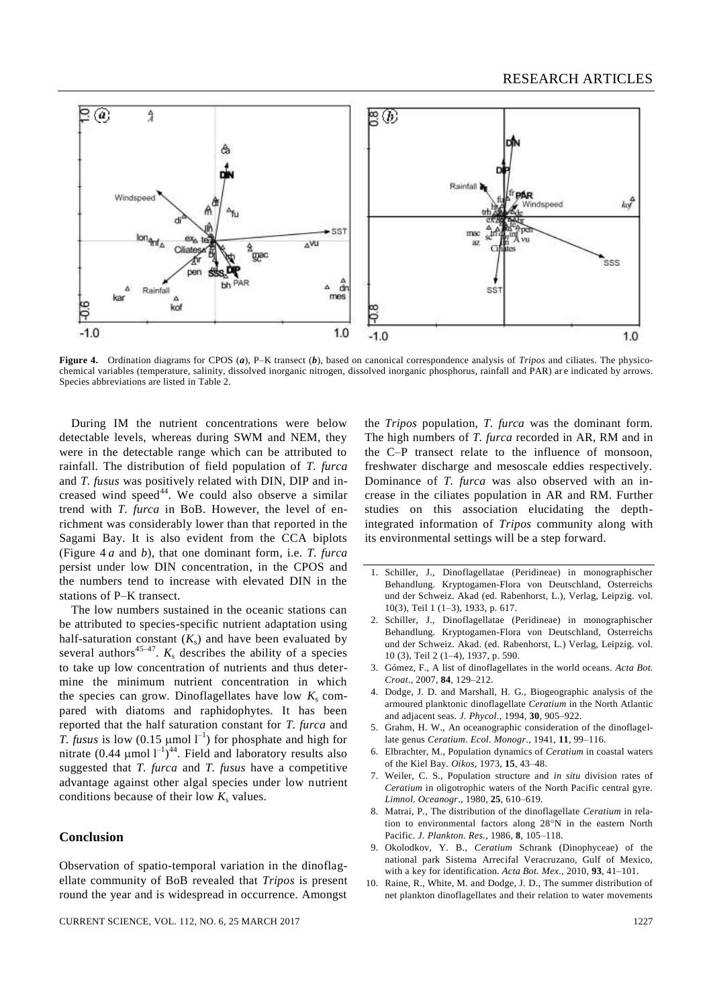

**Figure 4.** Ordination diagrams for CPOS (*a*), P–K transect (*b*), based on canonical correspondence analysis of *Tripos* and ciliates. The physicochemical variables (temperature, salinity, dissolved inorganic nitrogen, dissolved inorganic phosphorus, rainfall and PAR) ar e indicated by arrows. Species abbreviations are listed in Table 2.

During IM the nutrient concentrations were below detectable levels, whereas during SWM and NEM, they were in the detectable range which can be attributed to rainfall. The distribution of field population of *T. furca*  and *T. fusus* was positively related with DIN, DIP and increased wind speed<sup>44</sup>. We could also observe a similar trend with *T. furca* in BoB. However, the level of enrichment was considerably lower than that reported in the Sagami Bay. It is also evident from the CCA biplots (Figure 4 *a* and *b*), that one dominant form, i.e. *T. furca* persist under low DIN concentration, in the CPOS and the numbers tend to increase with elevated DIN in the stations of P–K transect.

The low numbers sustained in the oceanic stations can be attributed to species-specific nutrient adaptation using half-saturation constant  $(K<sub>s</sub>)$  and have been evaluated by several authors<sup>45–47</sup>.  $K_s$  describes the ability of a species to take up low concentration of nutrients and thus determine the minimum nutrient concentration in which the species can grow. Dinoflagellates have low  $K_s$  compared with diatoms and raphidophytes. It has been reported that the half saturation constant for *T. furca* and *T. fusus* is low (0.15  $\mu$ mol  $I^{-1}$ ) for phosphate and high for nitrate  $(0.44 \text{ \mu} \text{mol l}^{-1})^{44}$ . Field and laboratory results also suggested that *T. furca* and *T. fusus* have a competitive advantage against other algal species under low nutrient conditions because of their low  $K_s$  values.

#### **Conclusion**

Observation of spatio-temporal variation in the dinoflagellate community of BoB revealed that *Tripos* is present round the year and is widespread in occurrence. Amongst

the *Tripos* population, *T. furca* was the dominant form. The high numbers of *T. furca* recorded in AR, RM and in the C–P transect relate to the influence of monsoon, freshwater discharge and mesoscale eddies respectively. Dominance of *T. furca* was also observed with an increase in the ciliates population in AR and RM. Further studies on this association elucidating the depthintegrated information of *Tripos* community along with its environmental settings will be a step forward.

- 1. Schiller, J., Dinoflagellatae (Peridineae) in monographischer Behandlung. Kryptogamen-Flora von Deutschland, Osterreichs und der Schweiz. Akad (ed. Rabenhorst, L.), Verlag, Leipzig. vol. 10(3), Teil 1 (1–3), 1933, p. 617.
- 2. Schiller, J., Dinoflagellatae (Peridineae) in monographischer Behandlung. Kryptogamen-Flora von Deutschland, Osterreichs und der Schweiz. Akad. (ed. Rabenhorst, L.) Verlag, Leipzig. vol. 10 (3), Teil 2 (1–4), 1937, p. 590.
- 3. Gómez, F., A list of dinoflagellates in the world oceans. *Acta Bot. Croat*., 2007, **84**, 129–212.
- 4. Dodge, J. D. and Marshall, H. G., Biogeographic analysis of the armoured planktonic dinoflagellate *Ceratium* in the North Atlantic and adjacent seas. *J. Phycol.*, 1994, **30**, 905–922.
- 5. Grahm, H. W., An oceanographic consideration of the dinoflagellate genus *Ceratium*. *Ecol. Monogr*., 1941, **11**, 99–116.
- 6. Elbrachter, M., Population dynamics of *Ceratium* in coastal waters of the Kiel Bay*. Oikos*, 1973, **15**, 43–48.
- 7. Weiler, C. S., Population structure and *in situ* division rates of *Ceratium* in oligotrophic waters of the North Pacific central gyre. *Limnol. Oceanogr*., 1980*,* **25**, 610–619.
- 8. Matrai, P., The distribution of the dinoflagellate *Ceratium* in relation to environmental factors along  $28^{\circ}$ N in the eastern North Pacific. *J. Plankton. Res.*, 1986, **8**, 105–118.
- 9. Okolodkov, Y. B., *Ceratium* Schrank (Dinophyceae) of the national park Sistema Arrecifal Veracruzano, Gulf of Mexico, with a key for identification. *Acta Bot. Mex.,* 2010, **93**, 41–101.
- 10. Raine, R., White, M. and Dodge, J. D., The summer distribution of net plankton dinoflagellates and their relation to water movements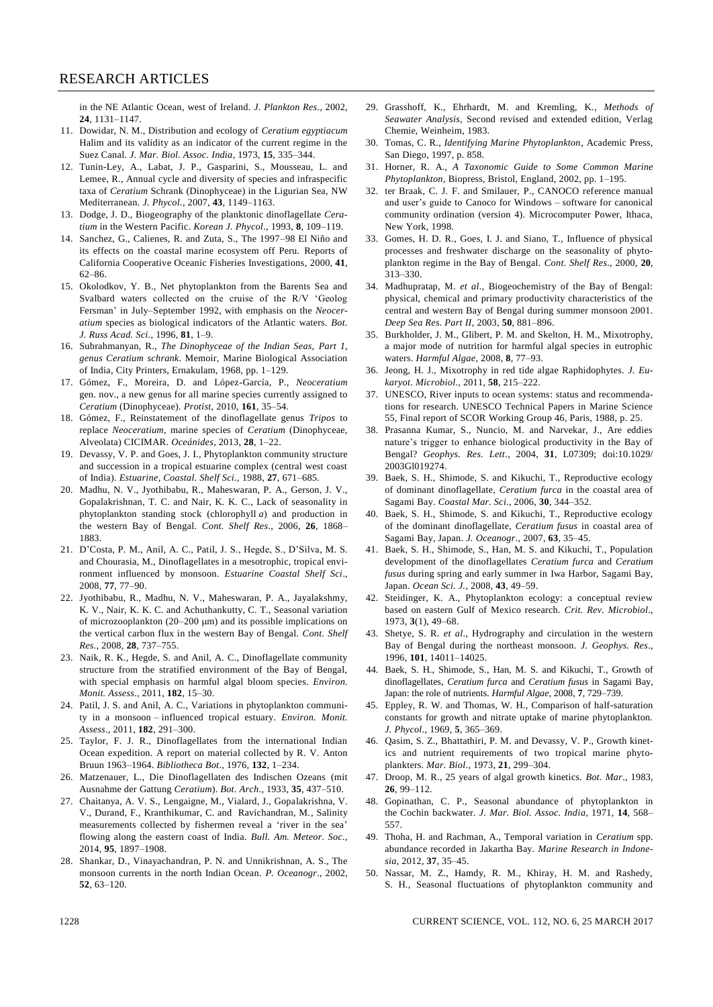in the NE Atlantic Ocean, west of Ireland. *J. Plankton Res.,* 2002, **24**, 1131–1147.

- 11. Dowidar, N. M., Distribution and ecology of *Ceratium egyptiacum*  Halim and its validity as an indicator of the current regime in the Suez Canal. *J. Mar. Biol. Assoc. India*, 1973, **15**, 335–344.
- 12. Tunin-Ley, A., Labat, J. P., Gasparini, S., Mousseau, L. and Lemee, R., Annual cycle and diversity of species and infraspecific taxa of *Ceratium* Schrank (Dinophyceae) in the Ligurian Sea, NW Mediterranean. *J. Phycol.*, 2007, **43**, 1149–1163.
- 13. Dodge, J. D., Biogeography of the planktonic dinoflagellate *Ceratium* in the Western Pacific. *Korean J. Phycol*., 1993, **8**, 109–119.
- 14. Sanchez, G., Calienes, R. and Zuta, S., The 1997–98 El Niño and its effects on the coastal marine ecosystem off Peru. Reports of California Cooperative Oceanic Fisheries Investigations, 2000, **41**, 62–86.
- 15. Okolodkov, Y. B., Net phytoplankton from the Barents Sea and Svalbard waters collected on the cruise of the R/V 'Geolog Fersman' in July–September 1992, with emphasis on the *Neoceratium* species as biological indicators of the Atlantic waters*. Bot. J. Russ Acad. Sci.*, 1996, **81**, 1–9.
- 16. Subrahmanyan, R., *The Dinophyceae of the Indian Seas, Part 1, genus Ceratium schrank*. Memoir, Marine Biological Association of India, City Printers, Ernakulam, 1968, pp. 1–129.
- 17. Gómez, F., Moreira, D. and López-García, P., *Neoceratium*  gen. nov., a new genus for all marine species currently assigned to *Ceratium* (Dinophyceae). *Protist*, 2010, **161**, 35–54.
- 18. Gómez, F., Reinstatement of the dinoflagellate genus *Tripos* to replace *Neoceratium*, marine species of *Ceratium* (Dinophyceae, Alveolata) CICIMAR. *Oceánides*, 2013, **28**, 1–22.
- 19. Devassy, V. P. and Goes, J. I., Phytoplankton community structure and succession in a tropical estuarine complex (central west coast of India). *Estuarine, Coastal. Shelf Sci.*, 1988, **27**, 671–685.
- 20. Madhu, N. V., Jyothibabu, R., Maheswaran, P. A., Gerson, J. V., Gopalakrishnan, T. C. and Nair, K. K. C., Lack of seasonality in phytoplankton standing stock (chlorophyll *a*) and production in the western Bay of Bengal. *Cont. Shelf Res*., 2006, **26**, 1868– 1883.
- 21. D'Costa, P. M., Anil, A. C., Patil, J. S., Hegde, S., D'Silva, M. S. and Chourasia, M., Dinoflagellates in a mesotrophic, tropical environment influenced by monsoon. *Estuarine Coastal Shelf Sci*., 2008, **77**, 77–90.
- 22. Jyothibabu, R., Madhu, N. V., Maheswaran, P. A., Jayalakshmy, K. V., Nair, K. K. C. and Achuthankutty, C. T., Seasonal variation of microzooplankton (20-200 μm) and its possible implications on the vertical carbon flux in the western Bay of Bengal. *Cont. Shelf Res*., 2008, **28**, 737–755.
- 23. Naik, R. K., Hegde, S. and Anil, A. C., Dinoflagellate community structure from the stratified environment of the Bay of Bengal, with special emphasis on harmful algal bloom species. *Environ. Monit. Assess*., 2011, **182**, 15–30.
- 24. Patil, J. S. and Anil, A. C., Variations in phytoplankton community in a monsoon – influenced tropical estuary. *Environ. Monit. Assess*., 2011, **182**, 291–300.
- 25. Taylor, F. J. R., Dinoflagellates from the international Indian Ocean expedition*.* A report on material collected by R. V. Anton Bruun 1963–1964. *Bibliotheca Bot*., 1976, **132**, 1–234.
- 26. Matzenauer, L., Die Dinoflagellaten des Indischen Ozeans (mit Ausnahme der Gattung *Ceratium*). *Bot. Arch*., 1933, **35**, 437–510.
- 27. Chaitanya, A. V. S., Lengaigne, M., Vialard, J., Gopalakrishna, V. V., Durand, F., Kranthikumar, C. and Ravichandran, M., Salinity measurements collected by fishermen reveal a 'river in the sea' flowing along the eastern coast of India. *Bull. Am. Meteor. Soc.*, 2014, **95**, 1897–1908.
- 28. Shankar, D., Vinayachandran, P. N. and Unnikrishnan, A. S., The monsoon currents in the north Indian Ocean. *P. Oceanogr*., 2002, **52**, 63–120.
- 29. Grasshoff, K., Ehrhardt, M. and Kremling, K., *Methods of Seawater Analysis*, Second revised and extended edition, Verlag Chemie, Weinheim, 1983.
- 30. Tomas, C. R., *Identifying Marine Phytoplankton*, Academic Press, San Diego, 1997, p. 858.
- 31. Horner, R. A., *A Taxonomic Guide to Some Common Marine Phytoplankton*, Biopress, Bristol, England, 2002, pp. 1–195.
- 32. ter Braak, C. J. F. and Smilauer, P., CANOCO reference manual and user's guide to Canoco for Windows – software for canonical community ordination (version 4). Microcomputer Power, Ithaca, New York, 1998.
- 33. Gomes, H. D. R., Goes, I. J. and Siano, T., Influence of physical processes and freshwater discharge on the seasonality of phytoplankton regime in the Bay of Bengal. *Cont. Shelf Res*., 2000, **20**, 313–330.
- 34. Madhupratap, M. *et al*., Biogeochemistry of the Bay of Bengal: physical, chemical and primary productivity characteristics of the central and western Bay of Bengal during summer monsoon 2001. *Deep Sea Res. Part II*, 2003, **50**, 881–896.
- 35. Burkholder, J. M., Glibert, P. M. and Skelton, H. M., Mixotrophy, a major mode of nutrition for harmful algal species in eutrophic waters. *Harmful Algae*, 2008, **8**, 77–93.
- 36. Jeong, H. J., Mixotrophy in red tide algae Raphidophytes. *J. Eukaryot. Microbiol*., 2011, **58**, 215–222.
- 37. UNESCO, River inputs to ocean systems: status and recommendations for research. UNESCO Technical Papers in Marine Science 55, Final report of SCOR Working Group 46, Paris, 1988, p. 25.
- 38. Prasanna Kumar, S., Nuncio, M. and Narvekar, J., Are eddies nature's trigger to enhance biological productivity in the Bay of Bengal? *Geophys. Res. Lett*., 2004, **31**, L07309; doi:10.1029/ 2003Gl019274.
- 39. Baek, S. H., Shimode, S. and Kikuchi, T., Reproductive ecology of dominant dinoflagellate, *Ceratium furca* in the coastal area of Sagami Bay. *Coastal Mar. Sci*., 2006*,* **30**, 344–352.
- 40. Baek, S. H., Shimode, S. and Kikuchi, T., Reproductive ecology of the dominant dinoflagellate, *Ceratium fusus* in coastal area of Sagami Bay, Japan. *J. Oceanogr*., 2007, **63**, 35–45.
- 41. Baek, S. H., Shimode, S., Han, M. S. and Kikuchi, T., Population development of the dinoflagellates *Ceratium furca* and *Ceratium fusus* during spring and early summer in Iwa Harbor, Sagami Bay, Japan. *Ocean Sci. J.*, 2008, **43**, 49–59.
- 42. Steidinger, K. A., Phytoplankton ecology: a conceptual review based on eastern Gulf of Mexico research. *Crit. Rev. Microbiol*., 1973, **3**(1), 49–68.
- 43. Shetye, S. R. *et al*., Hydrography and circulation in the western Bay of Bengal during the northeast monsoon. *J. Geophys. Res*., 1996, **101**, 14011–14025.
- 44. Baek, S. H., Shimode, S., Han, M. S. and Kikuchi, T., Growth of dinoflagellates, *Ceratium furca* and *Ceratium fusus* in Sagami Bay, Japan: the role of nutrients. *Harmful Algae*, 2008, **7**, 729–739.
- 45. Eppley, R. W. and Thomas, W. H., Comparison of half-saturation constants for growth and nitrate uptake of marine phytoplankton. *J. Phycol*., 1969, **5**, 365–369.
- 46. Qasim, S. Z., Bhattathiri, P. M. and Devassy, V. P., Growth kinetics and nutrient requirements of two tropical marine phytoplankters. *Mar. Biol*., 1973, **21**, 299–304.
- 47. Droop, M. R., 25 years of algal growth kinetics. *Bot. Mar*., 1983*,*  **26**, 99–112.
- 48. Gopinathan, C. P., Seasonal abundance of phytoplankton in the Cochin backwater. *J. Mar. Biol. Assoc. India*, 1971, **14**, 568– 557.
- 49. Thoha, H. and Rachman, A., Temporal variation in *Ceratium* spp. abundance recorded in Jakartha Bay. *Marine Research in Indonesia*, 2012, **37**, 35–45.
- 50. Nassar, M. Z., Hamdy, R. M., Khiray, H. M. and Rashedy, S. H., Seasonal fluctuations of phytoplankton community and